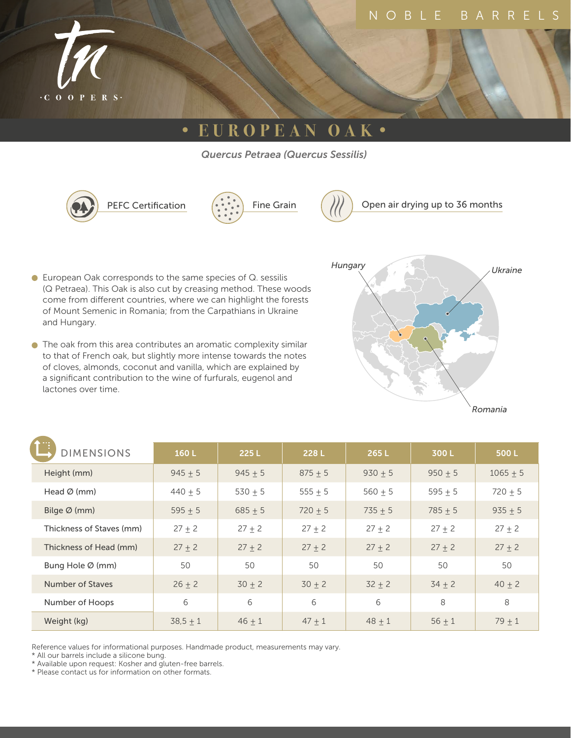

# **• EUROPEAN OAK •**

*Quercus Petraea (Quercus Sessilis)*





- European Oak corresponds to the same species of Q. sessilis (Q Petraea). This Oak is also cut by creasing method. These woods come from different countries, where we can highlight the forests of Mount Semenic in Romania; from the Carpathians in Ukraine and Hungary.
- The oak from this area contributes an aromatic complexity similar to that of French oak, but slightly more intense towards the notes of cloves, almonds, coconut and vanilla, which are explained by a significant contribution to the wine of furfurals, eugenol and lactones over time.



| <b>DIMENSIONS</b>            | 160L       | 225L        | 228 L       | 265L      | 300L       | 500L        |
|------------------------------|------------|-------------|-------------|-----------|------------|-------------|
| Height (mm)                  | $945 + 5$  | $945 + 5$   | $875 + 5$   | $930 + 5$ | $950 + 5$  | $1065 + 5$  |
| Head $\varnothing$ (mm)      | $440 + 5$  | 530 $\pm$ 5 | 555 $\pm$ 5 | $560 + 5$ | $595 + 5$  | 720 $\pm$ 5 |
| Bilge $\varnothing$ (mm)     | $595 + 5$  | $685 + 5$   | $720 + 5$   | $735 + 5$ | $785 + 5$  | $935 + 5$   |
| Thickness of Staves (mm)     | $27 + 2$   | $27 + 2$    | $27 + 2$    | $27 + 2$  | $27 + 2$   | $27 + 2$    |
| Thickness of Head (mm)       | $27 + 2$   | $27 + 2$    | $27 + 2$    | $27 + 2$  | $27 + 2$   | $27 + 2$    |
| Bung Hole $\varnothing$ (mm) | 50         | 50          | 50          | 50        | 50         | 50          |
| Number of Staves             | $26 + 2$   | $30 + 2$    | $30 + 2$    | $32 + 2$  | $34 \pm 2$ | $40 \pm 2$  |
| Number of Hoops              | 6          | 6           | 6           | 6         | 8          | 8           |
| Weight (kg)                  | $38,5 + 1$ | $46 + 1$    | $47 + 1$    | $48 + 1$  | $56 + 1$   | $79 + 1$    |

Reference values for informational purposes. Handmade product, measurements may vary.

\* All our barrels include a silicone bung.

\* Available upon request: Kosher and gluten-free barrels.

\* Please contact us for information on other formats.